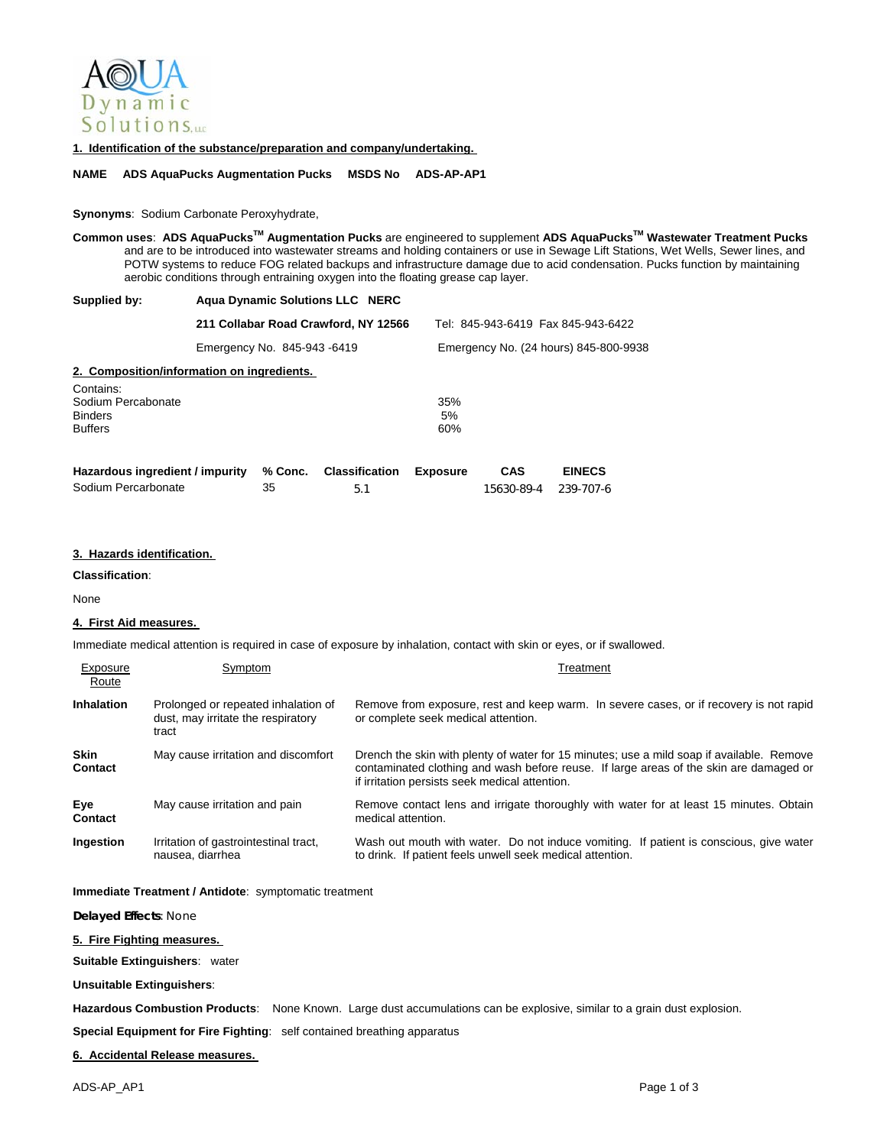

**1. Identification of the substance/preparation and company/undertaking.** 

**NAME ADS AquaPucks Augmentation Pucks MSDS No ADS-AP-AP1** 

### **Synonyms**: Sodium Carbonate Peroxyhydrate,

**Common uses**: **ADS AquaPucksTM Augmentation Pucks** are engineered to supplement **ADS AquaPucksTM Wastewater Treatment Pucks** and are to be introduced into wastewater streams and holding containers or use in Sewage Lift Stations, Wet Wells, Sewer lines, and POTW systems to reduce FOG related backups and infrastructure damage due to acid condensation. Pucks function by maintaining aerobic conditions through entraining oxygen into the floating grease cap layer.

| Supplied by:       | <b>Agua Dynamic Solutions LLC NERC</b>     |                                       |  |
|--------------------|--------------------------------------------|---------------------------------------|--|
|                    | 211 Collabar Road Crawford, NY 12566       | Tel: 845-943-6419 Fax 845-943-6422    |  |
|                    | Emergency No. 845-943-6419                 | Emergency No. (24 hours) 845-800-9938 |  |
|                    | 2. Composition/information on ingredients. |                                       |  |
| Contains:          |                                            |                                       |  |
| Sodium Percabonate |                                            | 35%                                   |  |
| <b>Binders</b>     |                                            | 5%                                    |  |
| <b>Buffers</b>     |                                            | 60%                                   |  |

| Hazardous ingredient / impurity % Conc. Classification Exposure |     | <b>CAS</b>           | <b>EINECS</b> |
|-----------------------------------------------------------------|-----|----------------------|---------------|
| Sodium Percarbonate                                             | 5.1 | 15630-89-4 239-707-6 |               |

#### **3. Hazards identification.**

**Classification**:

Exposure

None

## **4. First Aid measures.**

Immediate medical attention is required in case of exposure by inhalation, contact with skin or eyes, or if swallowed.

| Exposure<br>Route             | Symptom                                                                            | Treatment                                                                                                                                                                                                                             |
|-------------------------------|------------------------------------------------------------------------------------|---------------------------------------------------------------------------------------------------------------------------------------------------------------------------------------------------------------------------------------|
| <b>Inhalation</b>             | Prolonged or repeated inhalation of<br>dust, may irritate the respiratory<br>tract | Remove from exposure, rest and keep warm. In severe cases, or if recovery is not rapid<br>or complete seek medical attention.                                                                                                         |
| <b>Skin</b><br><b>Contact</b> | May cause irritation and discomfort                                                | Drench the skin with plenty of water for 15 minutes; use a mild soap if available. Remove<br>contaminated clothing and wash before reuse. If large areas of the skin are damaged or<br>if irritation persists seek medical attention. |
| Eye<br><b>Contact</b>         | May cause irritation and pain                                                      | Remove contact lens and irrigate thoroughly with water for at least 15 minutes. Obtain<br>medical attention.                                                                                                                          |
| Ingestion                     | Irritation of gastrointestinal tract,<br>nausea, diarrhea                          | Wash out mouth with water. Do not induce vomiting. If patient is conscious, give water<br>to drink. If patient feels unwell seek medical attention.                                                                                   |

**Immediate Treatment / Antidote**: symptomatic treatment

**Delayed Effects**: None

# **5. Fire Fighting measures.**

**Suitable Extinguishers**: water

**Unsuitable Extinguishers**:

**Hazardous Combustion Products**: None Known. Large dust accumulations can be explosive, similar to a grain dust explosion.

**Special Equipment for Fire Fighting**: self contained breathing apparatus

**6. Accidental Release measures.**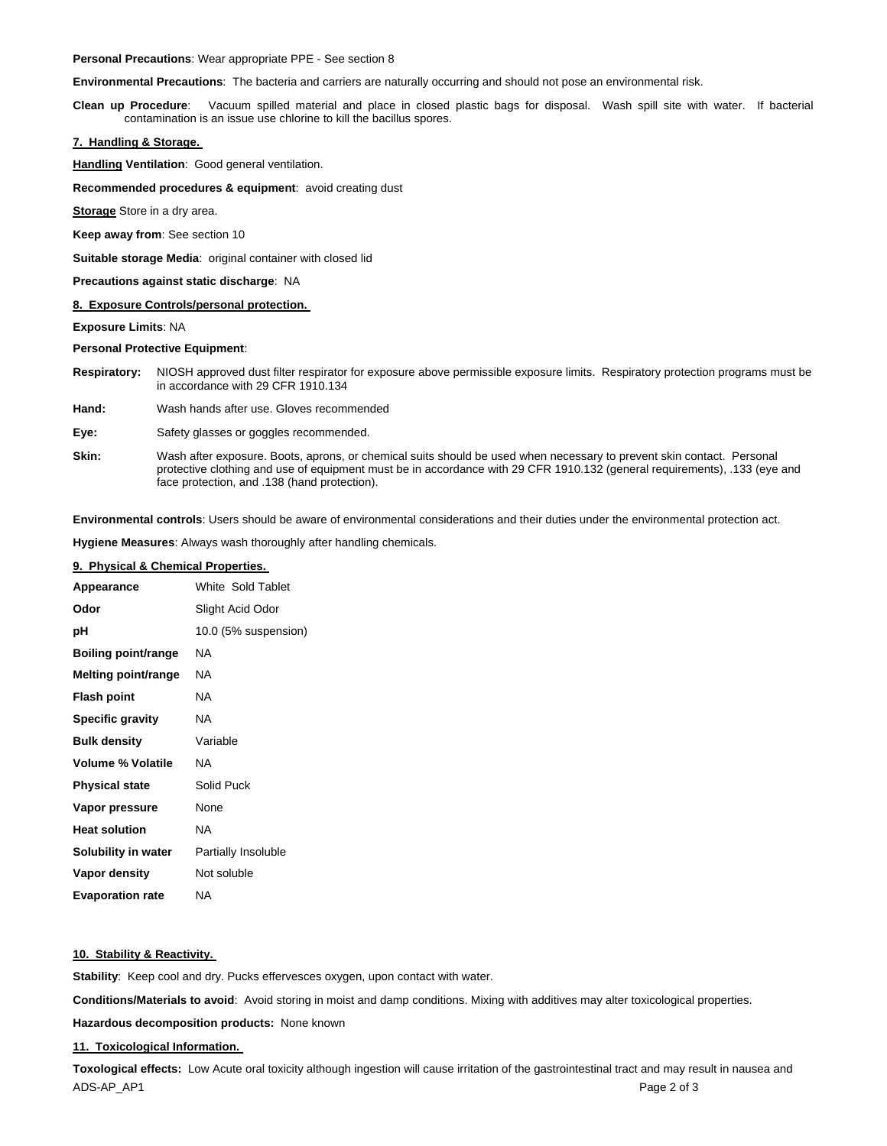**Personal Precautions**: Wear appropriate PPE - See section 8

**Environmental Precautions**: The bacteria and carriers are naturally occurring and should not pose an environmental risk.

**Clean up Procedure**: Vacuum spilled material and place in closed plastic bags for disposal. Wash spill site with water. If bacterial contamination is an issue use chlorine to kill the bacillus spores.

## **7. Handling & Storage.**

**Handling Ventilation**: Good general ventilation.

**Recommended procedures & equipment**: avoid creating dust

**Storage** Store in a dry area.

**Keep away from**: See section 10

**Suitable storage Media**: original container with closed lid

**Precautions against static discharge**: NA

#### **8. Exposure Controls/personal protection.**

**Exposure Limits**: NA

**Personal Protective Equipment**:

**Respiratory:** NIOSH approved dust filter respirator for exposure above permissible exposure limits. Respiratory protection programs must be in accordance with 29 CFR 1910.134

**Hand:** Wash hands after use. Gloves recommended

Eye: Safety glasses or goggles recommended.

**Skin:** Wash after exposure. Boots, aprons, or chemical suits should be used when necessary to prevent skin contact. Personal protective clothing and use of equipment must be in accordance with 29 CFR 1910.132 (general requirements), .133 (eye and face protection, and .138 (hand protection).

**Environmental controls**: Users should be aware of environmental considerations and their duties under the environmental protection act.

**Hygiene Measures**: Always wash thoroughly after handling chemicals.

### **9. Physical & Chemical Properties.**

| Appearance               | White Sold Tablet    |
|--------------------------|----------------------|
| Odor                     | Slight Acid Odor     |
| рH                       | 10.0 (5% suspension) |
| Boiling point/range      | ΝA                   |
| Melting point/range      | NA.                  |
| <b>Flash point</b>       | NA.                  |
| <b>Specific gravity</b>  | NA.                  |
| <b>Bulk density</b>      | Variable             |
| <b>Volume % Volatile</b> | ΝA                   |
| <b>Physical state</b>    | Solid Puck           |
| Vapor pressure           | None                 |
| <b>Heat solution</b>     | NA.                  |
| Solubility in water      | Partially Insoluble  |
| Vapor density            | Not soluble          |
| <b>Evaporation rate</b>  | ΝA                   |

### **10. Stability & Reactivity.**

**Stability**: Keep cool and dry. Pucks effervesces oxygen, upon contact with water.

**Conditions/Materials to avoid**: Avoid storing in moist and damp conditions. Mixing with additives may alter toxicological properties.

**Hazardous decomposition products:** None known

#### **11. Toxicological Information.**

ADS-AP\_AP1 Page 2 of 3 **Toxological effects:** Low Acute oral toxicity although ingestion will cause irritation of the gastrointestinal tract and may result in nausea and